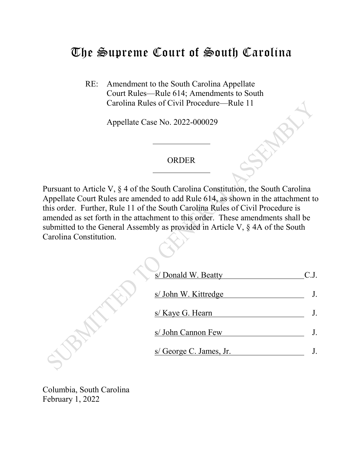# The Supreme Court of South Carolina

RE: Amendment to the South Carolina Appellate Court Rules—Rule 614; Amendments to South Carolina Rules of Civil Procedure—Rule 11

Appellate Case No. 2022-000029

#### ORDER

Pursuant to Article V, § 4 of the South Carolina Constitution, the South Carolina Appellate Court Rules are amended to add Rule 614, as shown in the attachment to this order. Further, Rule 11 of the South Carolina Rules of Civil Procedure is amended as set forth in the attachment to this order. These amendments shall be submitted to the General Assembly as provided in Article V, § 4A of the South Carolina Constitution.

| s/ Donald W. Beatty     | C.J. |
|-------------------------|------|
| s/ John W. Kittredge    |      |
| s/ Kaye G. Hearn        |      |
| s/ John Cannon Few      |      |
| s/ George C. James, Jr. |      |
|                         |      |

Columbia, South Carolina February 1, 2022